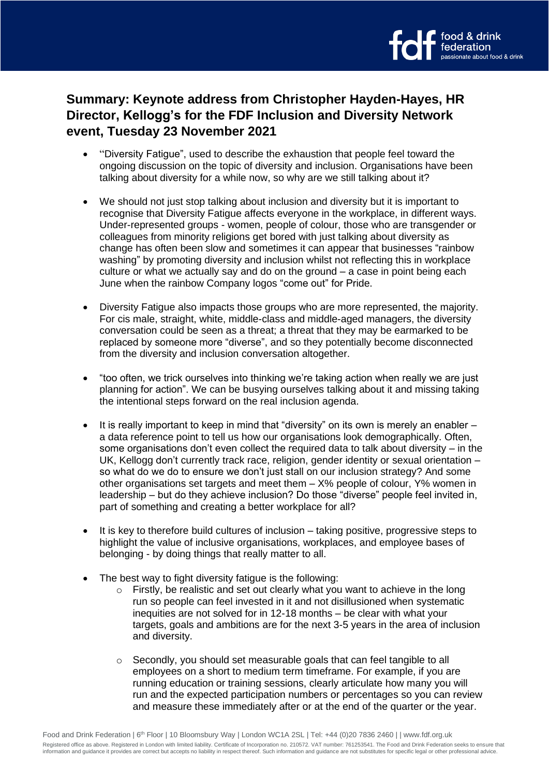

## **Summary: Keynote address from Christopher Hayden-Hayes, HR Director, Kellogg's for the FDF Inclusion and Diversity Network event, Tuesday 23 November 2021**

- "Diversity Fatigue", used to describe the exhaustion that people feel toward the ongoing discussion on the topic of diversity and inclusion. Organisations have been talking about diversity for a while now, so why are we still talking about it?
- We should not just stop talking about inclusion and diversity but it is important to recognise that Diversity Fatigue affects everyone in the workplace, in different ways. Under-represented groups - women, people of colour, those who are transgender or colleagues from minority religions get bored with just talking about diversity as change has often been slow and sometimes it can appear that businesses "rainbow washing" by promoting diversity and inclusion whilst not reflecting this in workplace culture or what we actually say and do on the ground – a case in point being each June when the rainbow Company logos "come out" for Pride.
- Diversity Fatigue also impacts those groups who are more represented, the majority. For cis male, straight, white, middle-class and middle-aged managers, the diversity conversation could be seen as a threat; a threat that they may be earmarked to be replaced by someone more "diverse", and so they potentially become disconnected from the diversity and inclusion conversation altogether.
- "too often, we trick ourselves into thinking we're taking action when really we are just planning for action". We can be busying ourselves talking about it and missing taking the intentional steps forward on the real inclusion agenda.
- It is really important to keep in mind that "diversity" on its own is merely an enabler a data reference point to tell us how our organisations look demographically. Often, some organisations don't even collect the required data to talk about diversity – in the UK, Kellogg don't currently track race, religion, gender identity or sexual orientation – so what do we do to ensure we don't just stall on our inclusion strategy? And some other organisations set targets and meet them – X% people of colour, Y% women in leadership – but do they achieve inclusion? Do those "diverse" people feel invited in, part of something and creating a better workplace for all?
- It is key to therefore build cultures of inclusion taking positive, progressive steps to highlight the value of inclusive organisations, workplaces, and employee bases of belonging - by doing things that really matter to all.
- The best way to fight diversity fatigue is the following:
	- o Firstly, be realistic and set out clearly what you want to achieve in the long run so people can feel invested in it and not disillusioned when systematic inequities are not solved for in 12-18 months – be clear with what your targets, goals and ambitions are for the next 3-5 years in the area of inclusion and diversity.
	- o Secondly, you should set measurable goals that can feel tangible to all employees on a short to medium term timeframe. For example, if you are running education or training sessions, clearly articulate how many you will run and the expected participation numbers or percentages so you can review and measure these immediately after or at the end of the quarter or the year.